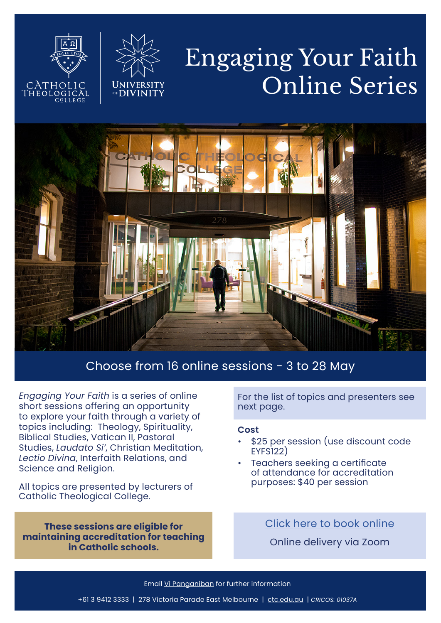# Engaging Your Faith Online Series



CATH



### Choose from 16 online sessions - 3 to 28 May

*Engaging Your Faith* is a series of online short sessions offering an opportunity to explore your faith through a variety of topics including: Theology, Spirituality, Biblical Studies, Vatican II, Pastoral Studies, *Laudato Si'*, Christian Meditation, *Lectio Divina*, Interfaith Relations, and Science and Religion.

All topics are presented by lecturers of Catholic Theological College.

**These sessions are eligible for maintaining accreditation for teaching in Catholic schools.** 

For the list of topics and presenters see next page.

#### **Cost**

- \$25 per session (use discount code EYFS122)
- Teachers seeking a certificate of attendance for accreditation purposes: \$40 per session

## [Click here to book online](https://www.trybooking.com/BYNUA)

Online delivery via Zoom

Email [Vi Panganiban](mailto:vi.panganiban%40ctc.edu.au?subject=Engaging%20Your%20Faith) for further information